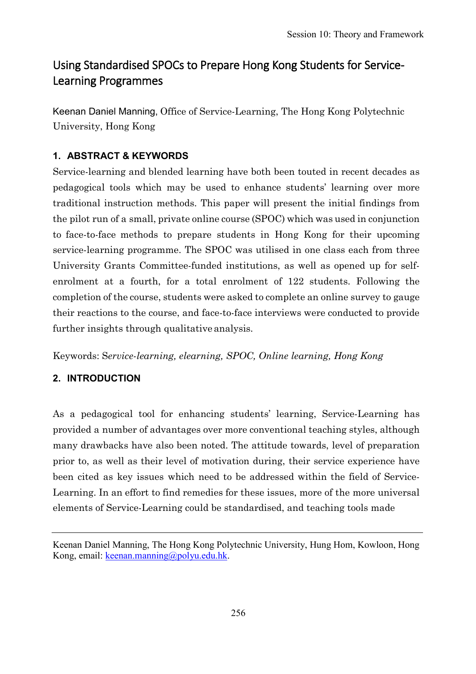# Using Standardised SPOCs to Prepare Hong Kong Students for Service-Learning Programmes

Keenan Daniel Manning, Office of Service-Learning, The Hong Kong Polytechnic University, Hong Kong

# **1. ABSTRACT & KEYWORDS**

Service-learning and blended learning have both been touted in recent decades as pedagogical tools which may be used to enhance students' learning over more traditional instruction methods. This paper will present the initial findings from the pilot run of a small, private online course (SPOC) which was used in conjunction to face-to-face methods to prepare students in Hong Kong for their upcoming service-learning programme. The SPOC was utilised in one class each from three University Grants Committee-funded institutions, as well as opened up for selfenrolment at a fourth, for a total enrolment of 122 students. Following the completion of the course, students were asked to complete an online survey to gauge their reactions to the course, and face-to-face interviews were conducted to provide further insights through qualitative analysis.

Keywords: S*ervice-learning, elearning, SPOC, Online learning, Hong Kong*

# **2. INTRODUCTION**

As a pedagogical tool for enhancing students' learning, Service-Learning has provided a number of advantages over more conventional teaching styles, although many drawbacks have also been noted. The attitude towards, level of preparation prior to, as well as their level of motivation during, their service experience have been cited as key issues which need to be addressed within the field of Service-Learning. In an effort to find remedies for these issues, more of the more universal elements of Service-Learning could be standardised, and teaching tools made

Keenan Daniel Manning, The Hong Kong Polytechnic University, Hung Hom, Kowloon, Hong Kong, email: [keenan.manning@polyu.edu.hk.](mailto:keenan.manning@polyu.edu.hk)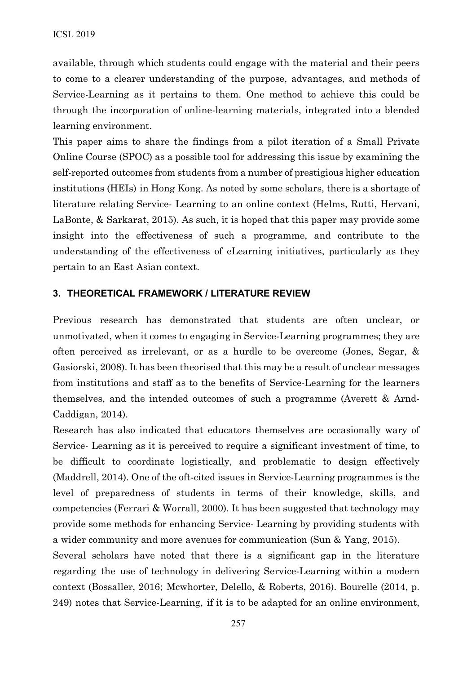available, through which students could engage with the material and their peers to come to a clearer understanding of the purpose, advantages, and methods of Service-Learning as it pertains to them. One method to achieve this could be through the incorporation of online-learning materials, integrated into a blended learning environment.

This paper aims to share the findings from a pilot iteration of a Small Private Online Course (SPOC) as a possible tool for addressing this issue by examining the self-reported outcomes from students from a number of prestigious higher education institutions (HEIs) in Hong Kong. As noted by some scholars, there is a shortage of literature relating Service- Learning to an online context (Helms, Rutti, Hervani, LaBonte, & Sarkarat, 2015). As such, it is hoped that this paper may provide some insight into the effectiveness of such a programme, and contribute to the understanding of the effectiveness of eLearning initiatives, particularly as they pertain to an East Asian context.

#### **3. THEORETICAL FRAMEWORK / LITERATURE REVIEW**

Previous research has demonstrated that students are often unclear, or unmotivated, when it comes to engaging in Service-Learning programmes; they are often perceived as irrelevant, or as a hurdle to be overcome (Jones, Segar, & Gasiorski, 2008). It has been theorised that this may be a result of unclear messages from institutions and staff as to the benefits of Service-Learning for the learners themselves, and the intended outcomes of such a programme (Averett & Arnd-Caddigan, 2014).

Research has also indicated that educators themselves are occasionally wary of Service- Learning as it is perceived to require a significant investment of time, to be difficult to coordinate logistically, and problematic to design effectively (Maddrell, 2014). One of the oft-cited issues in Service-Learning programmes is the level of preparedness of students in terms of their knowledge, skills, and competencies (Ferrari & Worrall, 2000). It has been suggested that technology may provide some methods for enhancing Service- Learning by providing students with a wider community and more avenues for communication (Sun & Yang, 2015).

Several scholars have noted that there is a significant gap in the literature regarding the use of technology in delivering Service-Learning within a modern context (Bossaller, 2016; Mcwhorter, Delello, & Roberts, 2016). Bourelle (2014, p. 249) notes that Service-Learning, if it is to be adapted for an online environment,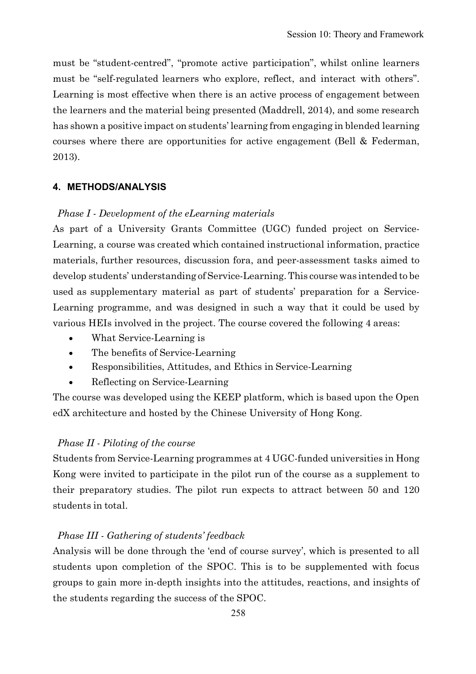must be "student-centred", "promote active participation", whilst online learners must be "self-regulated learners who explore, reflect, and interact with others". Learning is most effective when there is an active process of engagement between the learners and the material being presented (Maddrell, 2014), and some research has shown a positive impact on students' learning from engaging in blended learning courses where there are opportunities for active engagement (Bell & Federman, 2013).

#### **4. METHODS/ANALYSIS**

#### *Phase I - Development of the eLearning materials*

As part of a University Grants Committee (UGC) funded project on Service-Learning, a course was created which contained instructional information, practice materials, further resources, discussion fora, and peer-assessment tasks aimed to develop students' understanding of Service-Learning. This course was intended to be used as supplementary material as part of students' preparation for a Service-Learning programme, and was designed in such a way that it could be used by various HEIs involved in the project. The course covered the following 4 areas:

- What Service-Learning is
- The benefits of Service-Learning
- Responsibilities, Attitudes, and Ethics in Service-Learning
- Reflecting on Service-Learning

The course was developed using the KEEP platform, which is based upon the Open edX architecture and hosted by the Chinese University of Hong Kong.

#### *Phase II - Piloting of the course*

Students from Service-Learning programmes at 4 UGC-funded universities in Hong Kong were invited to participate in the pilot run of the course as a supplement to their preparatory studies. The pilot run expects to attract between 50 and 120 students in total.

#### *Phase III - Gathering of students' feedback*

Analysis will be done through the 'end of course survey', which is presented to all students upon completion of the SPOC. This is to be supplemented with focus groups to gain more in-depth insights into the attitudes, reactions, and insights of the students regarding the success of the SPOC.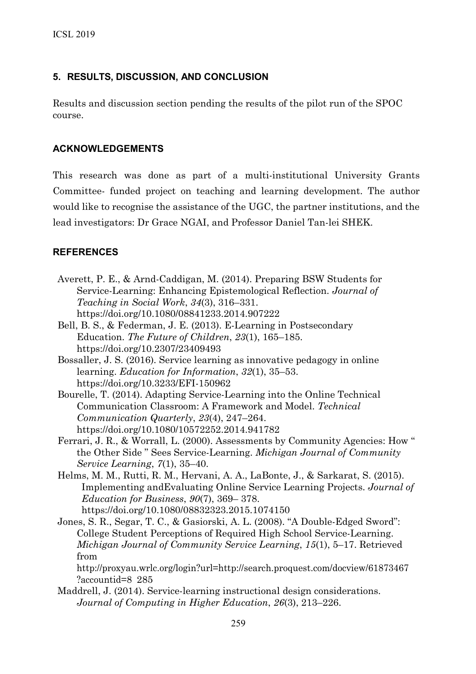### **5. RESULTS, DISCUSSION, AND CONCLUSION**

Results and discussion section pending the results of the pilot run of the SPOC course.

### **ACKNOWLEDGEMENTS**

This research was done as part of a multi-institutional University Grants Committee- funded project on teaching and learning development. The author would like to recognise the assistance of the UGC, the partner institutions, and the lead investigators: Dr Grace NGAI, and Professor Daniel Tan-lei SHEK.

## **REFERENCES**

- Averett, P. E., & Arnd-Caddigan, M. (2014). Preparing BSW Students for Service-Learning: Enhancing Epistemological Reflection. *Journal of Teaching in Social Work*, *34*(3), 316–331. https://doi.org/10.1080/08841233.2014.907222
- Bell, B. S., & Federman, J. E. (2013). E-Learning in Postsecondary Education. *The Future of Children*, *23*(1), 165–185. https://doi.org/10.2307/23409493
- Bossaller, J. S. (2016). Service learning as innovative pedagogy in online learning. *Education for Information*, *32*(1), 35–53. https://doi.org/10.3233/EFI-150962
- Bourelle, T. (2014). Adapting Service-Learning into the Online Technical Communication Classroom: A Framework and Model. *Technical Communication Quarterly*, *23*(4), 247–264. https://doi.org/10.1080/10572252.2014.941782
- Ferrari, J. R., & Worrall, L. (2000). Assessments by Community Agencies: How " the Other Side " Sees Service-Learning. *Michigan Journal of Community Service Learning*, *7*(1), 35–40.
- Helms, M. M., Rutti, R. M., Hervani, A. A., LaBonte, J., & Sarkarat, S. (2015). Implementing andEvaluating Online Service Learning Projects. *Journal of Education for Business*, *90*(7), 369– 378. https://doi.org/10.1080/08832323.2015.1074150
- Jones, S. R., Segar, T. C., & Gasiorski, A. L. (2008). "A Double-Edged Sword": College Student Perceptions of Required High School Service-Learning. *Michigan Journal of Community Service Learning*, *15*(1), 5–17. Retrieved from

http://proxyau.wrlc.org/login?url[=http://search.proquest.com/docview/61873467](http://search.proquest.com/docview/61873467?accountid=8) [?accountid=8](http://search.proquest.com/docview/61873467?accountid=8) 285

Maddrell, J. (2014). Service-learning instructional design considerations. *Journal of Computing in Higher Education*, *26*(3), 213–226.